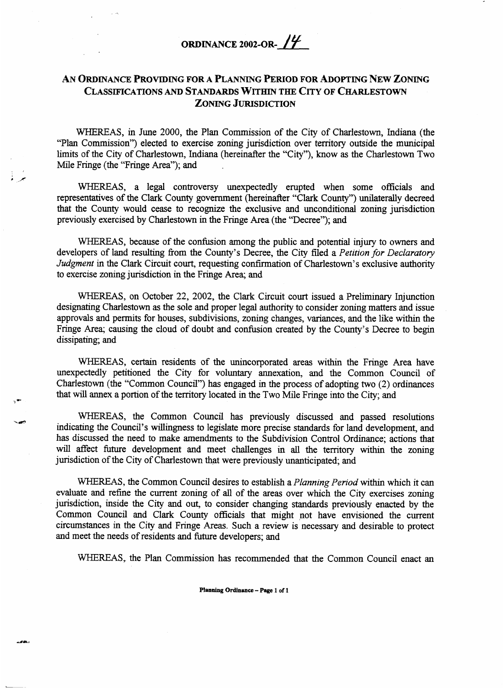## **ORDINANCE 2002-OR-** *14*

## **AN** ORDINANCE **PROVIDING FOR A PLANNING PERIOD FOR ADOPTING NEW ZONING CLASSIFICATIONS** *AND* **STANDARDS WITHIN THE CITY OF CHARLESTOWN ZONING JURISDICTION**

WHEREAS, in June 2000, the Plan Commission of the City of Charlestown, Indiana (the "Plan Commission") elected to exercise zoning jurisdiction over territory outside the municipal limits of the City of Charlestown, Indiana (hereinafter the "City"), know as the Charlestown Two Mile Fringe (the "Fringe Area"); and

WHEREAS, a legal controversy unexpectedly erupted when some officials and representatives of the Clark County government (hereinafter "Clark County") unilaterally decreed that the County would cease to recognize the exclusive and unconditional zoning jurisdiction previously exercised by Charlestown in the Fringe Area (the "Decree"); and

WHEREAS, because of the confusion among the public and potential injury to owners and developers of land resulting from the County's Decree, the City filed a *Petition for Declaratory Judgment* in the Clark Circuit court, requesting confirmation of Charlestown's exclusive authority to exercise zoning jurisdiction in the Fringe Area; **and** 

WHEREAS, on October **22,** 2002, the Clark Circuit court issued a Preliminary Injunction designating Charlestown as the sole and proper legal authority to consider zoning matters and issue approvals and permits for houses, subdivisions, zoning changes, variances, and the like within the Fringe Area; causing the cloud of doubt and confusion created by the County's Decree to begin dissipating; and

**WHEREAS,** certain residents of the unincorporated areas within the Fringe Area have unexpectedly petitioned the City for voluntary annexation, and the Common Council of Charlestown (the "Common Council") **has** engaged in the process of adopting two (2) ordinances that will annex a portion of the territory located in the Two Mile Fringe into the City; and

WHEREAS, the Common Council has previously discussed and passed resolutions indicating the Council's willingness to legislate more precise standards for land development, and has discussed the need to make amendments to the Subdivision Control Ordinance; actions that will affect future development and meet challenges in all the territory within the zoning jurisdiction of the City of Charlestown that were previously unanticipated; and

WHEREAS, the Common Council desires to establish a *Planning Period* within which it can evaluate and refine the current zoning of all of the areas over which the City exercises zoning jurisdiction, inside the City and out, to consider changing standards previously enacted by the Common Council and Clark County officials that might not have envisioned the current circumstances in the City and Fringe Areas. Such a review is necessary and desirable to protect and meet the needs of residents and future developers; and

WHEREAS, the Plan Commission has recommended that the Common Council enact an

ويعطفون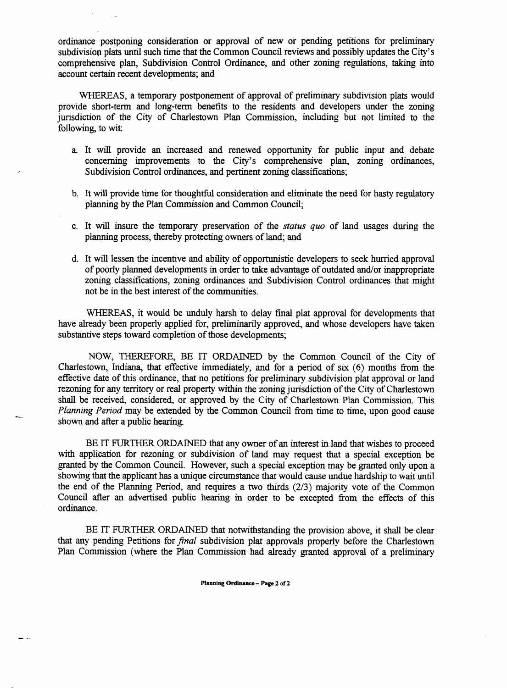ordinance postponing consideration or approval of new or pending petitions for preliminary subdivision plats until such **time** that the Common Council reviews and possibly updates the City's comprehensive plan, Subdivision Control Ordinance, and other zoning regulations, taking into account certain recent developments; and

**WHEREAS,** a temporary postponement of approval of preliminary subdivision plats would provide short-term and long-term benefits to the residents and developers under the zoning jurisdiction of the City of Charlestown Plan Commission, including but not limited to the following, to wit:

- **a.** It will provide **an** increased and renewed opportunity for public input and debate concerning improvements to the City's comprehensive plan, zoning ordinances, *Subdivision Control ordinances, and pertinent zoning classifications;*
- b. It will provide time for thoughtful consideration and eliminate the need for hasty regulatory planning by the Plan Commission and Common Council;
- c. It will insure the temporary preservation of the *status quo* of land usages during the planning process, thereby protecting owners of land; and
- d. It will lessen the incentive and ability of opportunistic developers to seek hurried approval of poorly planned developments in order to take advantage of outdated and/or inappropriate **zoning** classifications, zoning ordinances and Subdivision Control ordinances that might not be in the best interest of the communities.

WHEREAS, it would be unduly harsh to delay final plat approval for developments that have already been properly applied for, preliminarily approved, and whose developers have taken substantive steps toward completion of those developments;

NOW, THEREFORE, BE IT ORDAINED by the Common Council of the City of Charlestown, Indiana, that effective immediately, and for a period of six (6) months from the effective date of this ordinance, that no petitions for preliminary subdivision plat approval or land rezoning for any territory or real property within the zoning jurisdiction of the City of Charlestown **shall** be received, considered, or approved by the City of Charlestown Plan Commission. This *Planning Period* may be extended by the Common Council from time to time, upon good cause shown and after a public hearing. **h-**

**BE** IT FURTHER ORDAINED that any owner of an interest in land that wishes to proceed with application for rezoning or subdivision of land may request that a special exception be granted by the Common Council. However, such a special exception may be granted only upon a showing that the applicant has a unique circumstance that would cause undue hardship to wait until the end of the Planning Period, and requires a two thirds (2/3) majority vote of the Common Council after an advertised public hearing in order to be excepted from the effects of this ordinance.

BE IT FURTHER ORDAINED that notwithstanding the provision above, it shall be clear that any pending Petitions for *final* subdivision plat approvals properly before the Charlestown Plan Commission (where the Plan Commission had already granted approval of a preliminary

**Planning Ordinance** - **Page 2 of 2** 

a ..